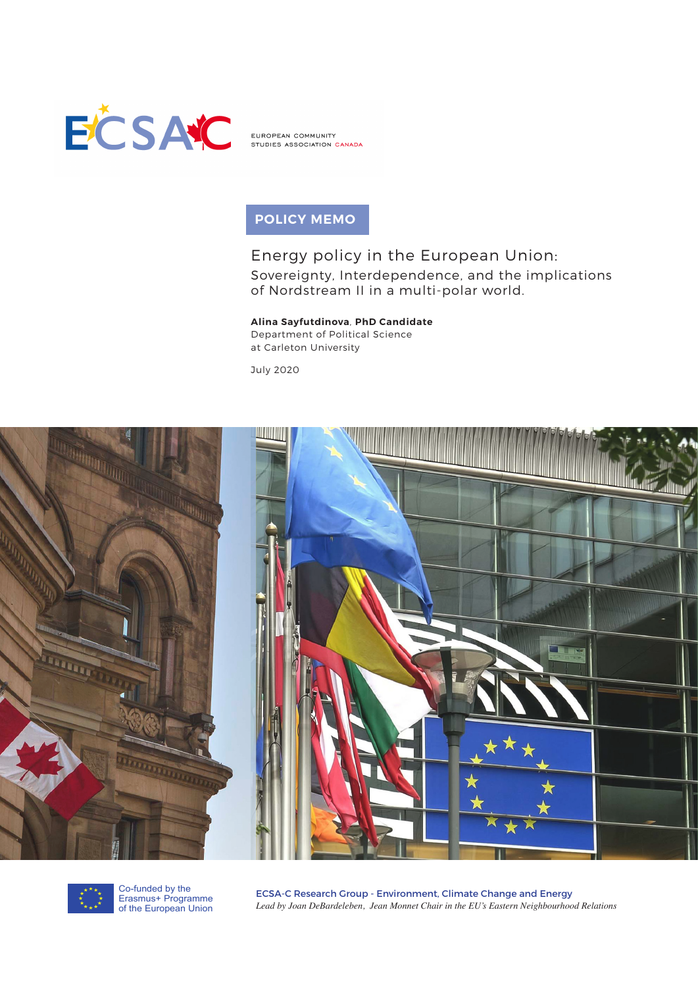

EUROPEAN COMMUNITY STUDIES ASSOCIATION CANADA

# **POLICY MEMO**

# Energy policy in the European Union: Sovereignty, Interdependence, and the implications of Nordstream II in a multi-polar world.

# **Alina Sayfutdinova**, **PhD Candidate**

Department of Political Science at Carleton University

July 2020





Co-funded by the Erasmus+ Programme of the European Union

ECSA-C Research Group - Environment, Climate Change and Energy *Lead by Joan DeBardeleben, Jean Monnet Chair in the EU's Eastern Neighbourhood Relations*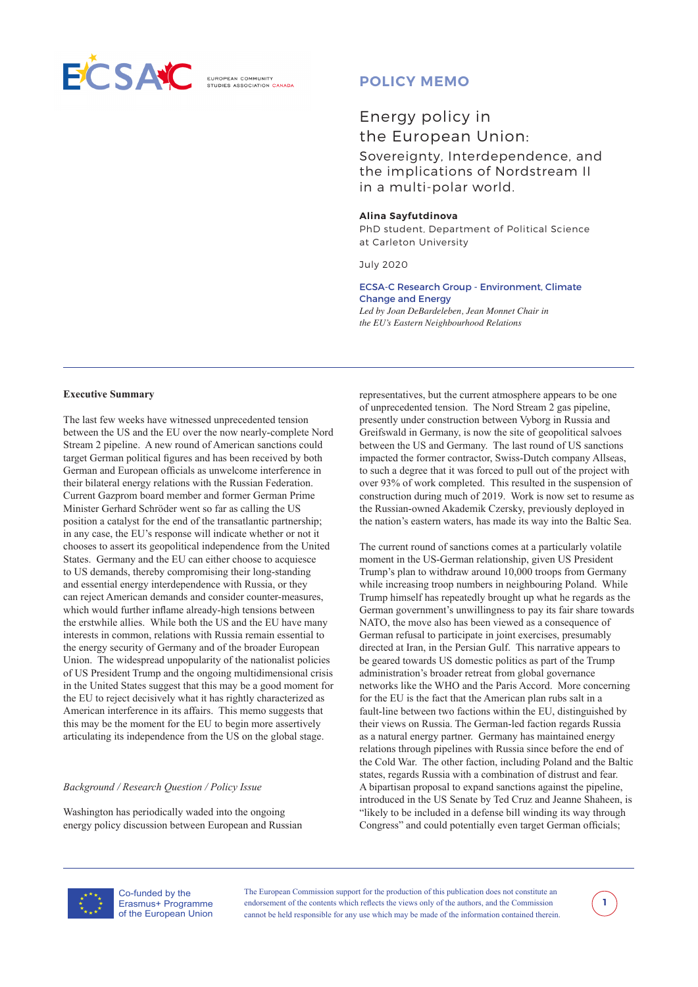

**ELIBOREAN COMMUNITY** 

# **POLICY MEMO**

# Energy policy in the European Union:

Sovereignty, Interdependence, and the implications of Nordstream II in a multi-polar world.

#### **Alina Sayfutdinova**

PhD student, Department of Political Science at Carleton University

July 2020

ECSA-C Research Group - Environment, Climate Change and Energy *Led by Joan DeBardeleben, Jean Monnet Chair in the EU's Eastern Neighbourhood Relations* 

#### **Executive Summary**

The last few weeks have witnessed unprecedented tension between the US and the EU over the now nearly-complete Nord Stream 2 pipeline. A new round of American sanctions could target German political figures and has been received by both German and European officials as unwelcome interference in their bilateral energy relations with the Russian Federation. Current Gazprom board member and former German Prime Minister Gerhard Schröder went so far as calling the US position a catalyst for the end of the transatlantic partnership; in any case, the EU's response will indicate whether or not it chooses to assert its geopolitical independence from the United States. Germany and the EU can either choose to acquiesce to US demands, thereby compromising their long-standing and essential energy interdependence with Russia, or they can reject American demands and consider counter-measures, which would further inflame already-high tensions between the erstwhile allies. While both the US and the EU have many interests in common, relations with Russia remain essential to the energy security of Germany and of the broader European Union. The widespread unpopularity of the nationalist policies of US President Trump and the ongoing multidimensional crisis in the United States suggest that this may be a good moment for the EU to reject decisively what it has rightly characterized as American interference in its affairs. This memo suggests that this may be the moment for the EU to begin more assertively articulating its independence from the US on the global stage.

### *Background / Research Question / Policy Issue*

Washington has periodically waded into the ongoing energy policy discussion between European and Russian representatives, but the current atmosphere appears to be one of unprecedented tension. The Nord Stream 2 gas pipeline, presently under construction between Vyborg in Russia and Greifswald in Germany, is now the site of geopolitical salvoes between the US and Germany. The last round of US sanctions impacted the former contractor, Swiss-Dutch company Allseas, to such a degree that it was forced to pull out of the project with over 93% of work completed. This resulted in the suspension of construction during much of 2019. Work is now set to resume as the Russian-owned Akademik Czersky, previously deployed in the nation's eastern waters, has made its way into the Baltic Sea.

The current round of sanctions comes at a particularly volatile moment in the US-German relationship, given US President Trump's plan to withdraw around 10,000 troops from Germany while increasing troop numbers in neighbouring Poland. While Trump himself has repeatedly brought up what he regards as the German government's unwillingness to pay its fair share towards NATO, the move also has been viewed as a consequence of German refusal to participate in joint exercises, presumably directed at Iran, in the Persian Gulf. This narrative appears to be geared towards US domestic politics as part of the Trump administration's broader retreat from global governance networks like the WHO and the Paris Accord. More concerning for the EU is the fact that the American plan rubs salt in a fault-line between two factions within the EU, distinguished by their views on Russia. The German-led faction regards Russia as a natural energy partner. Germany has maintained energy relations through pipelines with Russia since before the end of the Cold War. The other faction, including Poland and the Baltic states, regards Russia with a combination of distrust and fear. A bipartisan proposal to expand sanctions against the pipeline, introduced in the US Senate by Ted Cruz and Jeanne Shaheen, is "likely to be included in a defense bill winding its way through Congress" and could potentially even target German officials;



Co-funded by the Erasmus+ Programme of the European Union

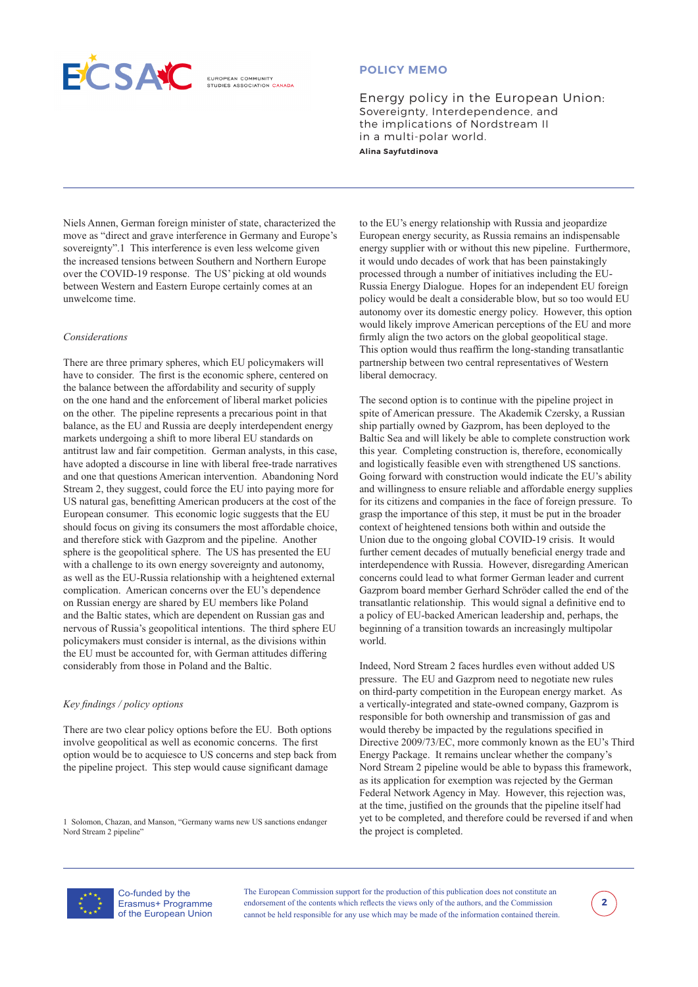**ELIBOREAN COMMUNITY** STUDIES ASSOCIATION CANADA

### **POLICY MEMO**

Energy policy in the European Union: Sovereignty, Interdependence, and the implications of Nordstream II in a multi-polar world. **Alina Sayfutdinova** 

Niels Annen, German foreign minister of state, characterized the move as "direct and grave interference in Germany and Europe's sovereignty".1 This interference is even less welcome given the increased tensions between Southern and Northern Europe over the COVID-19 response. The US' picking at old wounds between Western and Eastern Europe certainly comes at an unwelcome time.

#### *Considerations*

There are three primary spheres, which EU policymakers will have to consider. The first is the economic sphere, centered on the balance between the affordability and security of supply on the one hand and the enforcement of liberal market policies on the other. The pipeline represents a precarious point in that balance, as the EU and Russia are deeply interdependent energy markets undergoing a shift to more liberal EU standards on antitrust law and fair competition. German analysts, in this case, have adopted a discourse in line with liberal free-trade narratives and one that questions American intervention. Abandoning Nord Stream 2, they suggest, could force the EU into paying more for US natural gas, benefitting American producers at the cost of the European consumer. This economic logic suggests that the EU should focus on giving its consumers the most affordable choice, and therefore stick with Gazprom and the pipeline. Another sphere is the geopolitical sphere. The US has presented the EU with a challenge to its own energy sovereignty and autonomy, as well as the EU-Russia relationship with a heightened external complication. American concerns over the EU's dependence on Russian energy are shared by EU members like Poland and the Baltic states, which are dependent on Russian gas and nervous of Russia's geopolitical intentions. The third sphere EU policymakers must consider is internal, as the divisions within the EU must be accounted for, with German attitudes differing considerably from those in Poland and the Baltic.

### *Key findings / policy options*

There are two clear policy options before the EU. Both options involve geopolitical as well as economic concerns. The first option would be to acquiesce to US concerns and step back from the pipeline project. This step would cause significant damage

1 Solomon, Chazan, and Manson, "Germany warns new US sanctions endanger Nord Stream 2 pipeline"

to the EU's energy relationship with Russia and jeopardize European energy security, as Russia remains an indispensable energy supplier with or without this new pipeline. Furthermore, it would undo decades of work that has been painstakingly processed through a number of initiatives including the EU-Russia Energy Dialogue. Hopes for an independent EU foreign policy would be dealt a considerable blow, but so too would EU autonomy over its domestic energy policy. However, this option would likely improve American perceptions of the EU and more firmly align the two actors on the global geopolitical stage. This option would thus reaffirm the long-standing transatlantic partnership between two central representatives of Western liberal democracy.

The second option is to continue with the pipeline project in spite of American pressure. The Akademik Czersky, a Russian ship partially owned by Gazprom, has been deployed to the Baltic Sea and will likely be able to complete construction work this year. Completing construction is, therefore, economically and logistically feasible even with strengthened US sanctions. Going forward with construction would indicate the EU's ability and willingness to ensure reliable and affordable energy supplies for its citizens and companies in the face of foreign pressure. To grasp the importance of this step, it must be put in the broader context of heightened tensions both within and outside the Union due to the ongoing global COVID-19 crisis. It would further cement decades of mutually beneficial energy trade and interdependence with Russia. However, disregarding American concerns could lead to what former German leader and current Gazprom board member Gerhard Schröder called the end of the transatlantic relationship. This would signal a definitive end to a policy of EU-backed American leadership and, perhaps, the beginning of a transition towards an increasingly multipolar world.

Indeed, Nord Stream 2 faces hurdles even without added US pressure. The EU and Gazprom need to negotiate new rules on third-party competition in the European energy market. As a vertically-integrated and state-owned company, Gazprom is responsible for both ownership and transmission of gas and would thereby be impacted by the regulations specified in Directive 2009/73/EC, more commonly known as the EU's Third Energy Package. It remains unclear whether the company's Nord Stream 2 pipeline would be able to bypass this framework, as its application for exemption was rejected by the German Federal Network Agency in May. However, this rejection was, at the time, justified on the grounds that the pipeline itself had yet to be completed, and therefore could be reversed if and when the project is completed.



Co-funded by the Erasmus+ Programme of the European Union

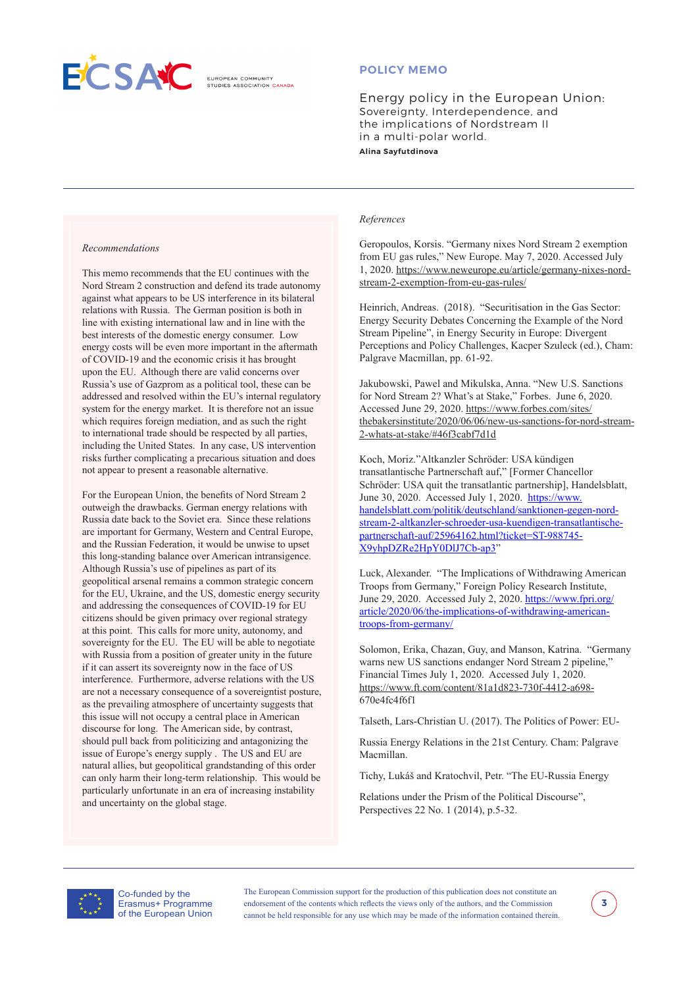

**ELIBOREAN COMMUNITY** 

## **POLICY MEMO**

Energy policy in the European Union: Sovereignty, Interdependence, and the implications of Nordstream II in a multi-polar world. **Alina Sayfutdinova** 

#### *Recommendations*

This memo recommends that the EU continues with the Nord Stream 2 construction and defend its trade autonomy against what appears to be US interference in its bilateral relations with Russia. The German position is both in line with existing international law and in line with the best interests of the domestic energy consumer. Low energy costs will be even more important in the aftermath of COVID-19 and the economic crisis it has brought upon the EU. Although there are valid concerns over Russia's use of Gazprom as a political tool, these can be addressed and resolved within the EU's internal regulatory system for the energy market. It is therefore not an issue which requires foreign mediation, and as such the right to international trade should be respected by all parties, including the United States. In any case, US intervention risks further complicating a precarious situation and does not appear to present a reasonable alternative.

For the European Union, the benefits of Nord Stream 2 outweigh the drawbacks. German energy relations with Russia date back to the Soviet era. Since these relations are important for Germany, Western and Central Europe, and the Russian Federation, it would be unwise to upset this long-standing balance over American intransigence. Although Russia's use of pipelines as part of its geopolitical arsenal remains a common strategic concern for the EU, Ukraine, and the US, domestic energy security and addressing the consequences of COVID-19 for EU citizens should be given primacy over regional strategy at this point. This calls for more unity, autonomy, and sovereignty for the EU. The EU will be able to negotiate with Russia from a position of greater unity in the future if it can assert its sovereignty now in the face of US interference. Furthermore, adverse relations with the US are not a necessary consequence of a sovereigntist posture, as the prevailing atmosphere of uncertainty suggests that this issue will not occupy a central place in American discourse for long. The American side, by contrast, should pull back from politicizing and antagonizing the issue of Europe's energy supply . The US and EU are natural allies, but geopolitical grandstanding of this order can only harm their long-term relationship. This would be particularly unfortunate in an era of increasing instability and uncertainty on the global stage.

#### *References*

Geropoulos, Korsis. "Germany nixes Nord Stream 2 exemption from EU gas rules," New Europe. May 7, 2020. Accessed July 1, 2020. [https://www.neweurope.eu/article/germany-nixes-nord](https://www.neweurope.eu/article/germany-nixes-nord-stream-2-exemption-from-eu-gas-rules/)[stream-2-exemption-from-eu-gas-rules/](https://www.neweurope.eu/article/germany-nixes-nord-stream-2-exemption-from-eu-gas-rules/)

Heinrich, Andreas. (2018). "Securitisation in the Gas Sector: Energy Security Debates Concerning the Example of the Nord Stream Pipeline", in Energy Security in Europe: Divergent Perceptions and Policy Challenges, Kacper Szuleck (ed.), Cham: Palgrave Macmillan, pp. 61-92.

Jakubowski, Pawel and Mikulska, Anna. "New U.S. Sanctions for Nord Stream 2? What's at Stake," Forbes. June 6, 2020. Accessed June 29, 2020. [https://www.forbes.com/sites/](https://www.forbes.com/sites/thebakersinstitute/2020/06/06/new-us-sanctions-for-nord-stream-2-whats-at-stake/#46f3cabf7d1d) [thebakersinstitute/2020/06/06/new-us-sanctions-for-nord-stream-](https://www.forbes.com/sites/thebakersinstitute/2020/06/06/new-us-sanctions-for-nord-stream-2-whats-at-stake/#46f3cabf7d1d)[2-whats-at-stake/#46f3cabf7d1d](https://www.forbes.com/sites/thebakersinstitute/2020/06/06/new-us-sanctions-for-nord-stream-2-whats-at-stake/#46f3cabf7d1d)

Koch, Moriz."Altkanzler Schröder: USA kündigen transatlantische Partnerschaft auf," [Former Chancellor Schröder: USA quit the transatlantic partnership], Handelsblatt, June 30, 2020. Accessed July 1, 2020. [https://www.](https://www.handelsblatt.com/politik/deutschland/sanktionen-gegen-nord-stream-2-altkanzler-schroeder-usa-kuendigen-transatlantische-partnerschaft-auf/25964162.html?ticket=ST-988745-X9yhpDZRe2HpY0DlJ7Cb-ap3) [handelsblatt.com/politik/deutschland/sanktionen-gegen-nord](https://www.handelsblatt.com/politik/deutschland/sanktionen-gegen-nord-stream-2-altkanzler-schroeder-usa-kuendigen-transatlantische-partnerschaft-auf/25964162.html?ticket=ST-988745-X9yhpDZRe2HpY0DlJ7Cb-ap3)[stream-2-altkanzler-schroeder-usa-kuendigen-transatlantische](https://www.handelsblatt.com/politik/deutschland/sanktionen-gegen-nord-stream-2-altkanzler-schroeder-usa-kuendigen-transatlantische-partnerschaft-auf/25964162.html?ticket=ST-988745-X9yhpDZRe2HpY0DlJ7Cb-ap3)[partnerschaft-auf/25964162.html?ticket=ST-988745-](https://www.handelsblatt.com/politik/deutschland/sanktionen-gegen-nord-stream-2-altkanzler-schroeder-usa-kuendigen-transatlantische-partnerschaft-auf/25964162.html?ticket=ST-988745-X9yhpDZRe2HpY0DlJ7Cb-ap3) [X9yhpDZRe2HpY0DlJ7Cb-ap3](https://www.handelsblatt.com/politik/deutschland/sanktionen-gegen-nord-stream-2-altkanzler-schroeder-usa-kuendigen-transatlantische-partnerschaft-auf/25964162.html?ticket=ST-988745-X9yhpDZRe2HpY0DlJ7Cb-ap3)"

Luck, Alexander. "The Implications of Withdrawing American Troops from Germany," Foreign Policy Research Institute, June 29, 2020. Accessed July 2, 2020. [https://www.fpri.org/](https://www.fpri.org/article/2020/06/the-implications-of-withdrawing-american-troops-from-germany/) [article/2020/06/the-implications-of-withdrawing-american](https://www.fpri.org/article/2020/06/the-implications-of-withdrawing-american-troops-from-germany/)[troops-from-germany/](https://www.fpri.org/article/2020/06/the-implications-of-withdrawing-american-troops-from-germany/)

Solomon, Erika, Chazan, Guy, and Manson, Katrina. "Germany warns new US sanctions endanger Nord Stream 2 pipeline," Financial Times July 1, 2020. Accessed July 1, 2020. [https://www.ft.com/content/81a1d823-730f-4412-a698-](https://www.ft.com/content/81a1d823-730f-4412-a698-670e4fc4f6f1) [670e4fc4f6f1](https://www.ft.com/content/81a1d823-730f-4412-a698-670e4fc4f6f1)

Talseth, Lars-Christian U. (2017). The Politics of Power: EU-

Russia Energy Relations in the 21st Century. Cham: Palgrave Macmillan.

Tichy, Lukáš and Kratochvil, Petr. "The EU-Russia Energy

Relations under the Prism of the Political Discourse", Perspectives 22 No. 1 (2014), p.5-32.



Co-funded by the Erasmus+ Programme of the European Union